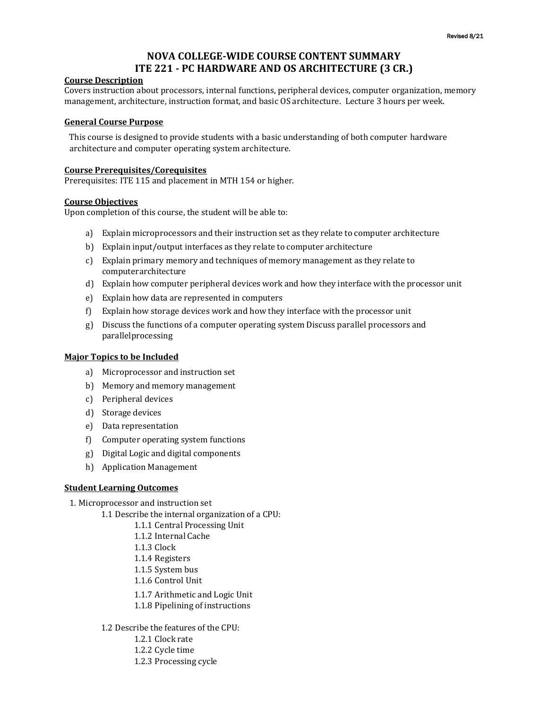# **NOVA COLLEGE-WIDE COURSE CONTENT SUMMARY ITE 221 - PC HARDWARE AND OS ARCHITECTURE (3 CR.)**

#### **Course Description**

Covers instruction about processors, internal functions, peripheral devices, computer organization, memory management, architecture, instruction format, and basic OS architecture. Lecture 3 hours per week.

#### **General Course Purpose**

This course is designed to provide students with a basic understanding of both computer hardware architecture and computer operating system architecture.

#### **Course Prerequisites/Corequisites**

Prerequisites: ITE 115 and placement in MTH 154 or higher.

## **Course Objectives**

Upon completion of this course, the student will be able to:

- a) Explain microprocessors and their instruction set as they relate to computer architecture
- b) Explain input/output interfaces as they relate to computer architecture
- c) Explain primary memory and techniques of memory management as they relate to computerarchitecture
- d) Explain how computer peripheral devices work and how they interface with the processor unit
- e) Explain how data are represented in computers
- f) Explain how storage devices work and how they interface with the processor unit
- g) Discuss the functions of a computer operating system Discussparallel processors and parallelprocessing

## **Major Topics to be Included**

- a) Microprocessor and instruction set
- b) Memory and memory management
- c) Peripheral devices
- d) Storage devices
- e) Data representation
- f) Computer operating system functions
- g) Digital Logic and digital components
- h) Application Management

### **Student Learning Outcomes**

1. Microprocessor and instruction set

- 1.1 Describe the internal organization of a CPU:
	- 1.1.1 Central Processing Unit
	- 1.1.2 Internal Cache
	- 1.1.3 Clock
	- 1.1.4 Registers
	- 1.1.5 System bus
	- 1.1.6 Control Unit
	- 1.1.7 Arithmetic and Logic Unit
	- 1.1.8 Pipelining of instructions
- 1.2 Describe the features of the CPU:
	- 1.2.1 Clock rate
	- 1.2.2 Cycle time
	- 1.2.3 Processing cycle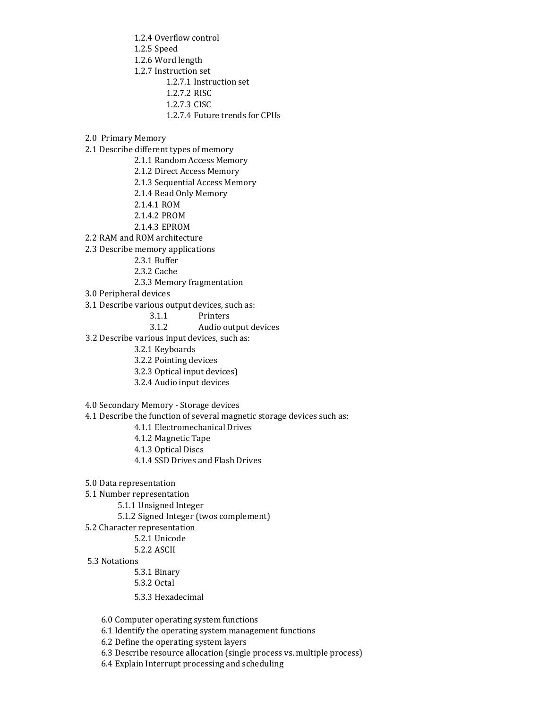1.2.4 Overflow control 1.2.5 Speed 1.2.6 Word length 1.2.7 Instruction set 1.2.7.1 Instruction set 1.2.7.2 RISC

1.2.7.3 CISC

- 1.2.7.4 Future trends for CPUs
- 2.0 Primary Memory

2.1 Describe different types of memory

- 2.1.1 Random Access Memory
- 2.1.2 Direct Access Memory
- 2.1.3 Sequential Access Memory
- 2.1.4 Read Only Memory
- 2.1.4.1 ROM
- 2.1.4.2 PROM
- 2.1.4.3 EPROM

2.2 RAM and ROM architecture

2.3 Describe memory applications

- 2.3.1 Buffer
- 2.3.2 Cache
- 2.3.3 Memory fragmentation
- 3.0 Peripheral devices
- 3.1 Describe various output devices, such as:
	- 3.1.1 Printers

## 3.1.2 Audio output devices

3.2 Describe various input devices, such as:

- 3.2.1 Keyboards
- 3.2.2 Pointing devices
- 3.2.3 Optical input devices)
- 3.2.4 Audio input devices
- 4.0 Secondary Memory Storage devices
- 4.1 Describe the function of several magnetic storage devices such as:
	- 4.1.1 Electromechanical Drives
	- 4.1.2 Magnetic Tape
	- 4.1.3 Optical Discs
	- 4.1.4 SSD Drives and Flash Drives
- 5.0 Data representation
- 5.1 Number representation
	- 5.1.1 Unsigned Integer
	- 5.1.2 Signed Integer (twos complement)
- 5.2 Character representation

#### 5.2.1 Unicode

- 5.2.2 ASCII
- 5.3 Notations

5.3.1 Binary

- 5.3.2 Octal
- 5.3.3 Hexadecimal

6.0 Computer operating system functions

- 6.1 Identify the operating system management functions
- 6.2 Define the operating system layers
- 6.3 Describe resource allocation (single process vs. multiple process)
- 6.4 Explain Interrupt processing and scheduling